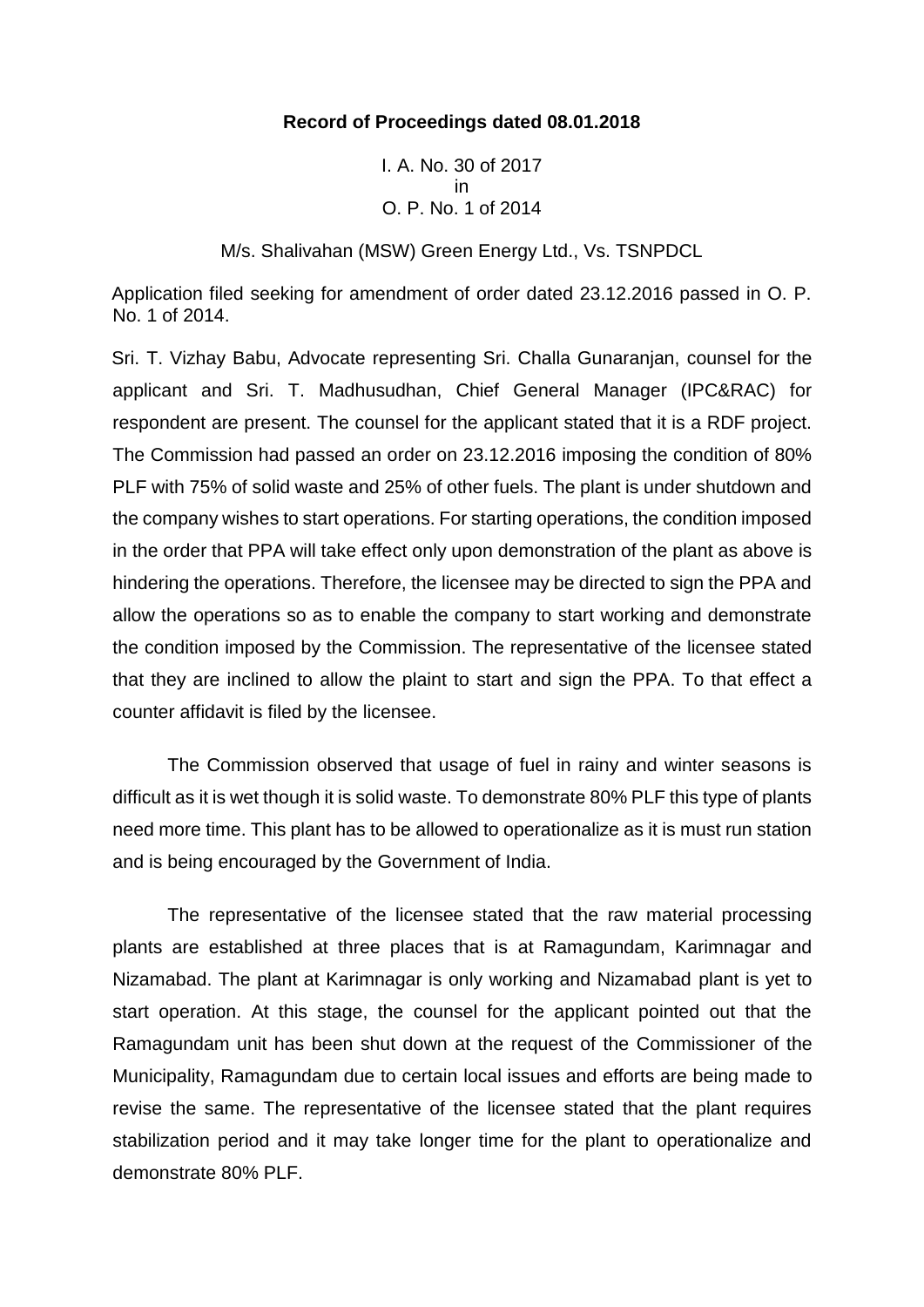## **Record of Proceedings dated 08.01.2018**

I. A. No. 30 of 2017 in O. P. No. 1 of 2014

M/s. Shalivahan (MSW) Green Energy Ltd., Vs. TSNPDCL

Application filed seeking for amendment of order dated 23.12.2016 passed in O. P. No. 1 of 2014.

Sri. T. Vizhay Babu, Advocate representing Sri. Challa Gunaranjan, counsel for the applicant and Sri. T. Madhusudhan, Chief General Manager (IPC&RAC) for respondent are present. The counsel for the applicant stated that it is a RDF project. The Commission had passed an order on 23.12.2016 imposing the condition of 80% PLF with 75% of solid waste and 25% of other fuels. The plant is under shutdown and the company wishes to start operations. For starting operations, the condition imposed in the order that PPA will take effect only upon demonstration of the plant as above is hindering the operations. Therefore, the licensee may be directed to sign the PPA and allow the operations so as to enable the company to start working and demonstrate the condition imposed by the Commission. The representative of the licensee stated that they are inclined to allow the plaint to start and sign the PPA. To that effect a counter affidavit is filed by the licensee.

The Commission observed that usage of fuel in rainy and winter seasons is difficult as it is wet though it is solid waste. To demonstrate 80% PLF this type of plants need more time. This plant has to be allowed to operationalize as it is must run station and is being encouraged by the Government of India.

The representative of the licensee stated that the raw material processing plants are established at three places that is at Ramagundam, Karimnagar and Nizamabad. The plant at Karimnagar is only working and Nizamabad plant is yet to start operation. At this stage, the counsel for the applicant pointed out that the Ramagundam unit has been shut down at the request of the Commissioner of the Municipality, Ramagundam due to certain local issues and efforts are being made to revise the same. The representative of the licensee stated that the plant requires stabilization period and it may take longer time for the plant to operationalize and demonstrate 80% PLF.